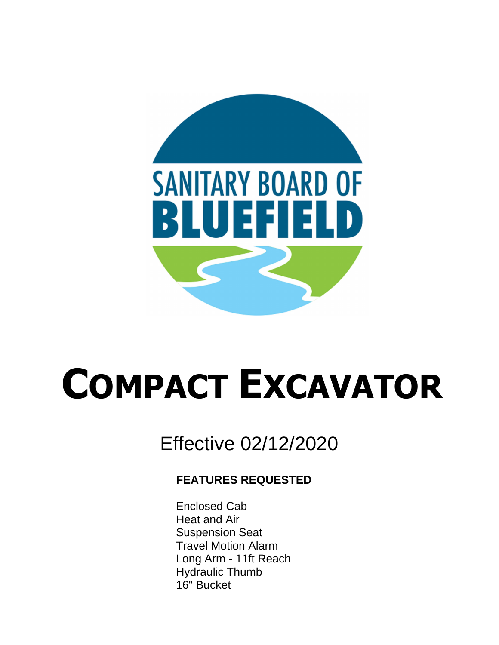

# **COMPACT EXCAVATOR**

# Effective 02/12/2020

### **FEATURES REQUESTED**

 $T_{\text{total}}$  specifications are to be used as guidelines when assisting purchasing purchasing purchasing  $T_{\text{total}}$ specification with writing the specification with  $\epsilon$ It is not the intent of the intention of the unit shall be unit shall be unit shall be unit shall be unit shall be u Long Arm - 11ft Reach For individual assistance in preparing detailed specifications, contact the Product Management Group  $\mathcal{L}$ Product Training Department in the West Fargo, ND of Training at 701-241-8700. The West Fargo, ND of Training  $\overline{a}$ Enclosed Cab Suspension Seat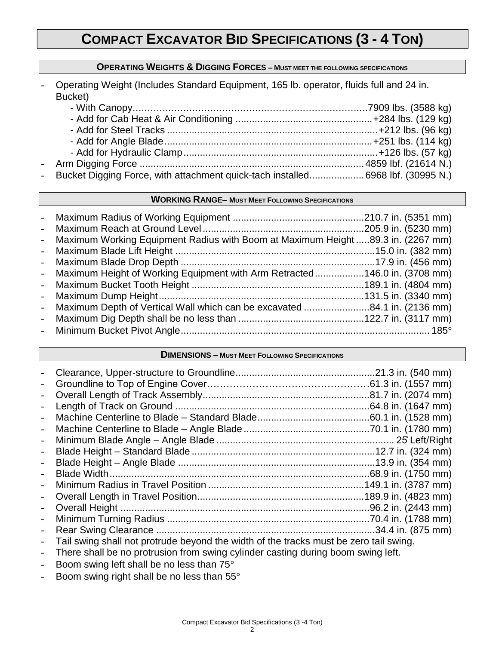## **COMPACT EXCAVATOR BID SPECIFICATIONS (3 - 4 TON)**

#### **OPERATING WEIGHTS & DIGGING FORCES – MUST MEET THE FOLLOWING SPECIFICATIONS**

- Operating Weight (Includes Standard Equipment, 165 lb. operator, fluids full and 24 in. Bucket)

| - Bucket Digging Force, with attachment quick-tach installed6968 lbf. (30995 N.) |  |
|----------------------------------------------------------------------------------|--|

#### **WORKING RANGE– MUST MEET FOLLOWING SPECIFICATIONS**

| - Maximum Working Equipment Radius with Boom at Maximum Height 89.3 in. (2267 mm) |  |
|-----------------------------------------------------------------------------------|--|
|                                                                                   |  |
|                                                                                   |  |
| - Maximum Height of Working Equipment with Arm Retracted146.0 in. (3708 mm)       |  |
|                                                                                   |  |
|                                                                                   |  |
| - Maximum Depth of Vertical Wall which can be excavated 84.1 in. (2136 mm)        |  |
|                                                                                   |  |
|                                                                                   |  |

#### **DIMENSIONS – MUST MEET FOLLOWING SPECIFICATIONS**

| $\overline{\phantom{0}}$     |                                                                                                                                                                                                                                                                                                                                                                                                                              |  |
|------------------------------|------------------------------------------------------------------------------------------------------------------------------------------------------------------------------------------------------------------------------------------------------------------------------------------------------------------------------------------------------------------------------------------------------------------------------|--|
| $\qquad \qquad -$            |                                                                                                                                                                                                                                                                                                                                                                                                                              |  |
| $\overline{\phantom{a}}$     |                                                                                                                                                                                                                                                                                                                                                                                                                              |  |
| $\qquad \qquad -$            |                                                                                                                                                                                                                                                                                                                                                                                                                              |  |
| $\qquad \qquad -$            |                                                                                                                                                                                                                                                                                                                                                                                                                              |  |
| $\overline{\phantom{a}}$     |                                                                                                                                                                                                                                                                                                                                                                                                                              |  |
| $\overline{\phantom{a}}$     |                                                                                                                                                                                                                                                                                                                                                                                                                              |  |
| $\overline{\phantom{a}}$     |                                                                                                                                                                                                                                                                                                                                                                                                                              |  |
| $\overline{\phantom{a}}$     |                                                                                                                                                                                                                                                                                                                                                                                                                              |  |
|                              |                                                                                                                                                                                                                                                                                                                                                                                                                              |  |
| $\qquad \qquad \blacksquare$ |                                                                                                                                                                                                                                                                                                                                                                                                                              |  |
| $\qquad \qquad -$            |                                                                                                                                                                                                                                                                                                                                                                                                                              |  |
| $\overline{\phantom{a}}$     |                                                                                                                                                                                                                                                                                                                                                                                                                              |  |
| $\overline{\phantom{a}}$     |                                                                                                                                                                                                                                                                                                                                                                                                                              |  |
|                              | $\mathbf{r} = \mathbf{r} + \mathbf{r} + \mathbf{r} + \mathbf{r} + \mathbf{r} + \mathbf{r} + \mathbf{r} + \mathbf{r} + \mathbf{r} + \mathbf{r} + \mathbf{r} + \mathbf{r} + \mathbf{r} + \mathbf{r} + \mathbf{r} + \mathbf{r} + \mathbf{r} + \mathbf{r} + \mathbf{r} + \mathbf{r} + \mathbf{r} + \mathbf{r} + \mathbf{r} + \mathbf{r} + \mathbf{r} + \mathbf{r} + \mathbf{r} + \mathbf{r} + \mathbf{r} + \mathbf{r} + \mathbf$ |  |

- Tail swing shall not protrude beyond the width of the tracks must be zero tail swing.
- There shall be no protrusion from swing cylinder casting during boom swing left.
- Boom swing left shall be no less than 75°
- Boom swing right shall be no less than 55°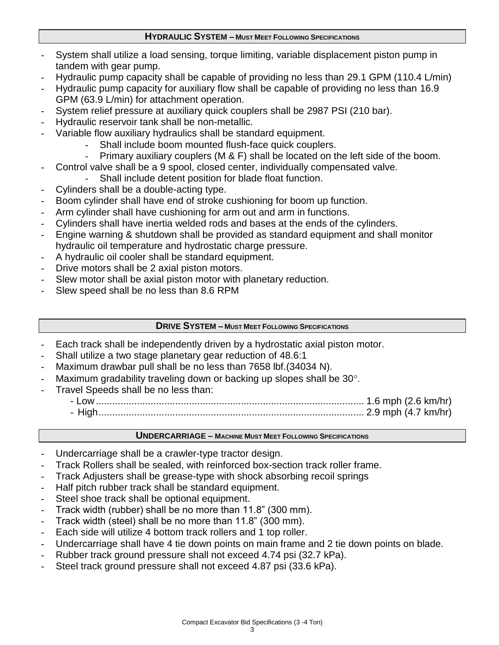#### **HYDRAULIC SYSTEM – MUST MEET FOLLOWING SPECIFICATIONS**

- System shall utilize a load sensing, torque limiting, variable displacement piston pump in tandem with gear pump.
- Hydraulic pump capacity shall be capable of providing no less than 29.1 GPM (110.4 L/min)
- Hydraulic pump capacity for auxiliary flow shall be capable of providing no less than 16.9 GPM (63.9 L/min) for attachment operation.
- System relief pressure at auxiliary quick couplers shall be 2987 PSI (210 bar).
- Hydraulic reservoir tank shall be non-metallic.
- Variable flow auxiliary hydraulics shall be standard equipment.
	- Shall include boom mounted flush-face quick couplers.
	- Primary auxiliary couplers (M & F) shall be located on the left side of the boom.
- Control valve shall be a 9 spool, closed center, individually compensated valve.
	- Shall include detent position for blade float function.
- Cylinders shall be a double-acting type.
- Boom cylinder shall have end of stroke cushioning for boom up function.
- Arm cylinder shall have cushioning for arm out and arm in functions.
- Cylinders shall have inertia welded rods and bases at the ends of the cylinders.
- Engine warning & shutdown shall be provided as standard equipment and shall monitor hydraulic oil temperature and hydrostatic charge pressure.
- A hydraulic oil cooler shall be standard equipment.
- Drive motors shall be 2 axial piston motors.
- Slew motor shall be axial piston motor with planetary reduction.
- Slew speed shall be no less than 8.6 RPM

#### **DRIVE SYSTEM – MUST MEET FOLLOWING SPECIFICATIONS**

- Each track shall be independently driven by a hydrostatic axial piston motor.
- Shall utilize a two stage planetary gear reduction of 48.6:1
- Maximum drawbar pull shall be no less than 7658 lbf.(34034 N).
- Maximum gradability traveling down or backing up slopes shall be  $30^{\circ}$ .
- Travel Speeds shall be no less than:
	- Low .................................................................................................. 1.6 mph (2.6 km/hr)
	- High................................................................................................. 2.9 mph (4.7 km/hr)

#### **UNDERCARRIAGE – MACHINE MUST MEET FOLLOWING SPECIFICATIONS**

- Undercarriage shall be a crawler-type tractor design.
- Track Rollers shall be sealed, with reinforced box-section track roller frame.
- Track Adjusters shall be grease-type with shock absorbing recoil springs
- Half pitch rubber track shall be standard equipment.
- Steel shoe track shall be optional equipment.
- Track width (rubber) shall be no more than 11.8" (300 mm).
- Track width (steel) shall be no more than 11.8" (300 mm).
- Each side will utilize 4 bottom track rollers and 1 top roller.
- Undercarriage shall have 4 tie down points on main frame and 2 tie down points on blade.
- Rubber track ground pressure shall not exceed 4.74 psi (32.7 kPa).
- Steel track ground pressure shall not exceed 4.87 psi (33.6 kPa).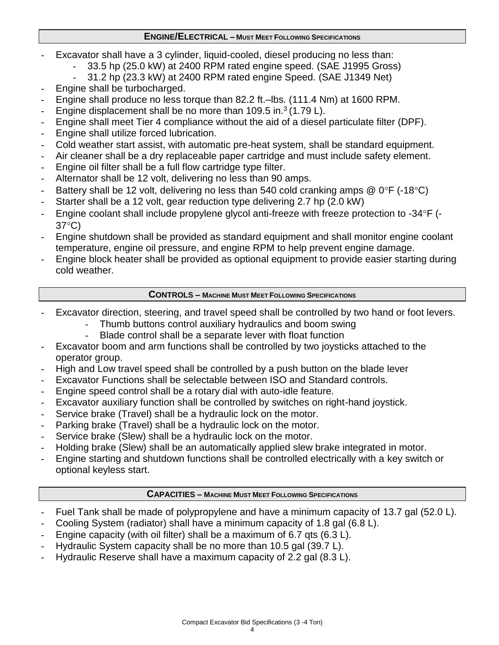#### **ENGINE/ELECTRICAL – MUST MEET FOLLOWING SPECIFICATIONS**

- Excavator shall have a 3 cylinder, liquid-cooled, diesel producing no less than:
	- 33.5 hp (25.0 kW) at 2400 RPM rated engine speed. (SAE J1995 Gross)
	- 31.2 hp (23.3 kW) at 2400 RPM rated engine Speed. (SAE J1349 Net)
- Engine shall be turbocharged.
- Engine shall produce no less torque than 82.2 ft.–lbs. (111.4 Nm) at 1600 RPM.
- Engine displacement shall be no more than  $109.5$  in.<sup>3</sup> (1.79 L).
- Engine shall meet Tier 4 compliance without the aid of a diesel particulate filter (DPF).
- Engine shall utilize forced lubrication.
- Cold weather start assist, with automatic pre-heat system, shall be standard equipment.
- Air cleaner shall be a dry replaceable paper cartridge and must include safety element.
- Engine oil filter shall be a full flow cartridge type filter.
- Alternator shall be 12 volt, delivering no less than 90 amps.
- Battery shall be 12 volt, delivering no less than 540 cold cranking amps  $@0^{\circ}F$  (-18 $°C$ )
- Starter shall be a 12 volt, gear reduction type delivering 2.7 hp (2.0 kW)
- Engine coolant shall include propylene glycol anti-freeze with freeze protection to  $-34^{\circ}F$  ( $37^{\circ}$ C)
- Engine shutdown shall be provided as standard equipment and shall monitor engine coolant temperature, engine oil pressure, and engine RPM to help prevent engine damage.
- Engine block heater shall be provided as optional equipment to provide easier starting during cold weather.

#### **CONTROLS – MACHINE MUST MEET FOLLOWING SPECIFICATIONS**

- Excavator direction, steering, and travel speed shall be controlled by two hand or foot levers.
	- Thumb buttons control auxiliary hydraulics and boom swing
		- Blade control shall be a separate lever with float function
- Excavator boom and arm functions shall be controlled by two joysticks attached to the operator group.
- High and Low travel speed shall be controlled by a push button on the blade lever
- Excavator Functions shall be selectable between ISO and Standard controls.
- Engine speed control shall be a rotary dial with auto-idle feature.
- Excavator auxiliary function shall be controlled by switches on right-hand joystick.
- Service brake (Travel) shall be a hydraulic lock on the motor.
- Parking brake (Travel) shall be a hydraulic lock on the motor.
- Service brake (Slew) shall be a hydraulic lock on the motor.
- Holding brake (Slew) shall be an automatically applied slew brake integrated in motor.
- Engine starting and shutdown functions shall be controlled electrically with a key switch or optional keyless start.

#### **CAPACITIES – MACHINE MUST MEET FOLLOWING SPECIFICATIONS**

- Fuel Tank shall be made of polypropylene and have a minimum capacity of 13.7 gal (52.0 L).
- Cooling System (radiator) shall have a minimum capacity of 1.8 gal (6.8 L).
- Engine capacity (with oil filter) shall be a maximum of 6.7 gts (6.3 L).
- Hydraulic System capacity shall be no more than 10.5 gal (39.7 L).
- Hydraulic Reserve shall have a maximum capacity of 2.2 gal (8.3 L).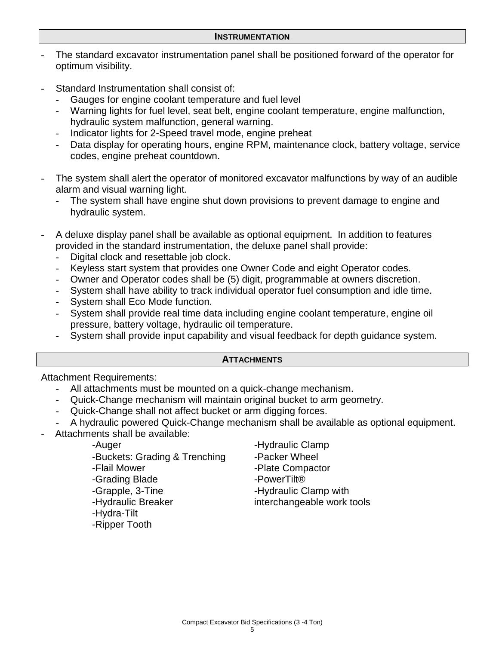- The standard excavator instrumentation panel shall be positioned forward of the operator for optimum visibility.
- Standard Instrumentation shall consist of:
	- Gauges for engine coolant temperature and fuel level
	- Warning lights for fuel level, seat belt, engine coolant temperature, engine malfunction, hydraulic system malfunction, general warning.
	- Indicator lights for 2-Speed travel mode, engine preheat
	- Data display for operating hours, engine RPM, maintenance clock, battery voltage, service codes, engine preheat countdown.
- The system shall alert the operator of monitored excavator malfunctions by way of an audible alarm and visual warning light.
	- The system shall have engine shut down provisions to prevent damage to engine and hydraulic system.
- A deluxe display panel shall be available as optional equipment. In addition to features provided in the standard instrumentation, the deluxe panel shall provide:
	- Digital clock and resettable job clock.
	- Keyless start system that provides one Owner Code and eight Operator codes.
	- Owner and Operator codes shall be (5) digit, programmable at owners discretion.
	- System shall have ability to track individual operator fuel consumption and idle time.
	- System shall Eco Mode function.
	- System shall provide real time data including engine coolant temperature, engine oil pressure, battery voltage, hydraulic oil temperature.
	- System shall provide input capability and visual feedback for depth guidance system.

#### **ATTACHMENTS**

Attachment Requirements:

- All attachments must be mounted on a quick-change mechanism.
- Quick-Change mechanism will maintain original bucket to arm geometry.
- Quick-Change shall not affect bucket or arm digging forces.
- A hydraulic powered Quick-Change mechanism shall be available as optional equipment.
- Attachments shall be available:

-Auger - Auger - Hydraulic Clamp -Buckets: Grading & Trenching -Packer Wheel -Flail Mower -Grading Blade -Grapple, 3-Tine -Hydraulic Breaker -Hydra-Tilt

-Ripper Tooth

- 
- -Plate Compactor

-PowerTilt® -Hydraulic Clamp with

interchangeable work tools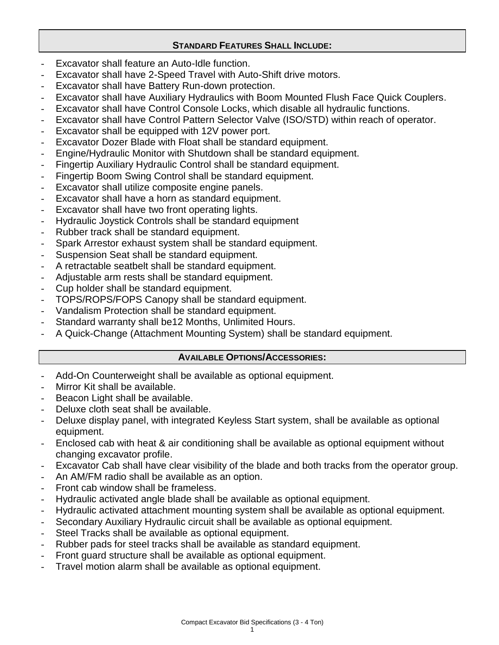#### **STANDARD FEATURES SHALL INCLUDE:**

- Excavator shall feature an Auto-Idle function.
- Excavator shall have 2-Speed Travel with Auto-Shift drive motors.
- Excavator shall have Battery Run-down protection.
- Excavator shall have Auxiliary Hydraulics with Boom Mounted Flush Face Quick Couplers.
- Excavator shall have Control Console Locks, which disable all hydraulic functions.
- Excavator shall have Control Pattern Selector Valve (ISO/STD) within reach of operator.
- Excavator shall be equipped with 12V power port.
- Excavator Dozer Blade with Float shall be standard equipment.
- Engine/Hydraulic Monitor with Shutdown shall be standard equipment.
- Fingertip Auxiliary Hydraulic Control shall be standard equipment.
- Fingertip Boom Swing Control shall be standard equipment.
- Excavator shall utilize composite engine panels.
- Excavator shall have a horn as standard equipment.
- Excavator shall have two front operating lights.
- Hydraulic Joystick Controls shall be standard equipment
- Rubber track shall be standard equipment.
- Spark Arrestor exhaust system shall be standard equipment.
- Suspension Seat shall be standard equipment.
- A retractable seatbelt shall be standard equipment.
- Adjustable arm rests shall be standard equipment.
- Cup holder shall be standard equipment.
- TOPS/ROPS/FOPS Canopy shall be standard equipment.
- Vandalism Protection shall be standard equipment.
- Standard warranty shall be12 Months, Unlimited Hours.
- A Quick-Change (Attachment Mounting System) shall be standard equipment.

#### **AVAILABLE OPTIONS/ACCESSORIES:**

- Add-On Counterweight shall be available as optional equipment.
- Mirror Kit shall be available.
- Beacon Light shall be available.
- Deluxe cloth seat shall be available.
- Deluxe display panel, with integrated Keyless Start system, shall be available as optional equipment.
- Enclosed cab with heat & air conditioning shall be available as optional equipment without changing excavator profile.
- Excavator Cab shall have clear visibility of the blade and both tracks from the operator group.
- An AM/FM radio shall be available as an option.
- Front cab window shall be frameless.
- Hydraulic activated angle blade shall be available as optional equipment.
- Hydraulic activated attachment mounting system shall be available as optional equipment.
- Secondary Auxiliary Hydraulic circuit shall be available as optional equipment.
- Steel Tracks shall be available as optional equipment.
- Rubber pads for steel tracks shall be available as standard equipment.
- Front guard structure shall be available as optional equipment.
- Travel motion alarm shall be available as optional equipment.